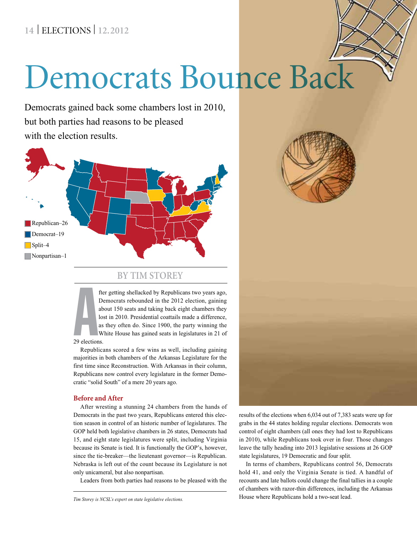# **14** | ELECTIONS | **12.2012**

# Democrats Bounce Back

Democrats gained back some chambers lost in 2010, but both parties had reasons to be pleased with the election results.





#### **By Tim Storey**

A fter getting shellacked by Republicans two years ago, Democrats rebounded in the 2012 election, gaining about 150 seats and taking back eight chambers they lost in 2010. Presidential coattails made a difference, as they often do. Since 1900, the party winning the White House has gained seats in legislatures in 21 of

#### 29 elections.

Republicans scored a few wins as well, including gaining majorities in both chambers of the Arkansas Legislature for the first time since Reconstruction. With Arkansas in their column, Republicans now control every legislature in the former Democratic "solid South" of a mere 20 years ago.

#### **Before and After**

After wresting a stunning 24 chambers from the hands of Democrats in the past two years, Republicans entered this election season in control of an historic number of legislatures. The GOP held both legislative chambers in 26 states, Democrats had 15, and eight state legislatures were split, including Virginia because its Senate is tied. It is functionally the GOP's, however, since the tie-breaker—the lieutenant governor—is Republican. Nebraska is left out of the count because its Legislature is not only unicameral, but also nonpartisan.

Leaders from both parties had reasons to be pleased with the

results of the elections when 6,034 out of 7,383 seats were up for grabs in the 44 states holding regular elections. Democrats won control of eight chambers (all ones they had lost to Republicans in 2010), while Republicans took over in four. Those changes leave the tally heading into 2013 legislative sessions at 26 GOP state legislatures, 19 Democratic and four split.

In terms of chambers, Republicans control 56, Democrats hold 41, and only the Virginia Senate is tied. A handful of recounts and late ballots could change the final tallies in a couple of chambers with razor-thin differences, including the Arkansas House where Republicans hold a two-seat lead. *Tim Storey is NCSL's expert on state legislative elections.*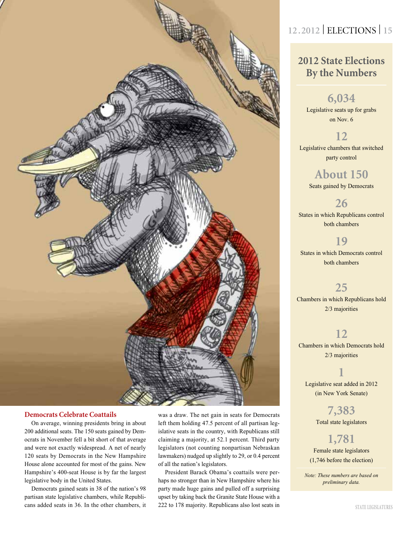

#### **Democrats Celebrate Coattails**

On average, winning presidents bring in about 200 additional seats. The 150 seats gained by Democrats in November fell a bit short of that average and were not exactly widespread. A net of nearly 120 seats by Democrats in the New Hampshire House alone accounted for most of the gains. New Hampshire's 400-seat House is by far the largest legislative body in the United States.

Democrats gained seats in 38 of the nation's 98 partisan state legislative chambers, while Republicans added seats in 36. In the other chambers, it was a draw. The net gain in seats for Democrats left them holding 47.5 percent of all partisan legislative seats in the country, with Republicans still claiming a majority, at 52.1 percent. Third party legislators (not counting nonpartisan Nebraskan lawmakers) nudged up slightly to 29, or 0.4 percent of all the nation's legislators.

President Barack Obama's coattails were perhaps no stronger than in New Hampshire where his party made huge gains and pulled off a surprising upset by taking back the Granite State House with a 222 to 178 majority. Republicans also lost seats in

# **12 .2012** | ELECTIONS | **15**

## **2012 State Elections By the Numbers**

## **6,034**

Legislative seats up for grabs on Nov. 6

### **12**

Legislative chambers that switched party control

## **About 150**

Seats gained by Democrats

#### **26**

States in which Republicans control both chambers

### **19**

States in which Democrats control both chambers

#### **25**

Chambers in which Republicans hold 2/3 majorities

#### **12**

Chambers in which Democrats hold 2/3 majorities

# **1**

Legislative seat added in 2012 (in New York Senate)

> **7,383** Total state legislators

## **1,781**

Female state legislators (1,746 before the election)

*Note: These numbers are based on preliminary data.*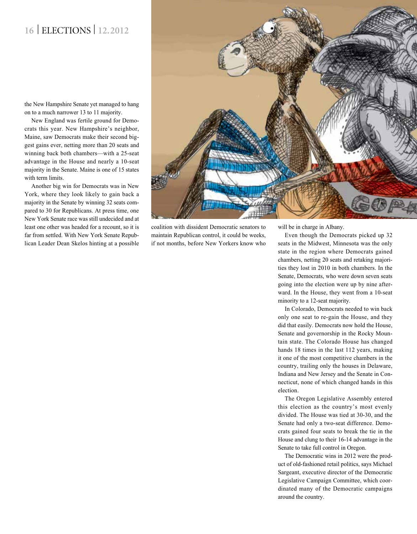# **16** | ELECTIONS | **12.2012**

the New Hampshire Senate yet managed to hang on to a much narrower 13 to 11 majority.

New England was fertile ground for Democrats this year. New Hampshire's neighbor, Maine, saw Democrats make their second biggest gains ever, netting more than 20 seats and winning back both chambers—with a 25-seat advantage in the House and nearly a 10-seat majority in the Senate. Maine is one of 15 states with term limits.

Another big win for Democrats was in New York, where they look likely to gain back a majority in the Senate by winning 32 seats compared to 30 for Republicans. At press time, one New York Senate race was still undecided and at least one other was headed for a recount, so it is far from settled. With New York Senate Republican Leader Dean Skelos hinting at a possible



coalition with dissident Democratic senators to maintain Republican control, it could be weeks, if not months, before New Yorkers know who will be in charge in Albany.

Even though the Democrats picked up 32 seats in the Midwest, Minnesota was the only state in the region where Democrats gained chambers, netting 20 seats and retaking majorities they lost in 2010 in both chambers. In the Senate, Democrats, who were down seven seats going into the election were up by nine afterward. In the House, they went from a 10-seat minority to a 12-seat majority.

In Colorado, Democrats needed to win back only one seat to re-gain the House, and they did that easily. Democrats now hold the House, Senate and governorship in the Rocky Mountain state. The Colorado House has changed hands 18 times in the last 112 years, making it one of the most competitive chambers in the country, trailing only the houses in Delaware, Indiana and New Jersey and the Senate in Connecticut, none of which changed hands in this election.

The Oregon Legislative Assembly entered this election as the country's most evenly divided. The House was tied at 30-30, and the Senate had only a two-seat difference. Democrats gained four seats to break the tie in the House and clung to their 16-14 advantage in the Senate to take full control in Oregon.

The Democratic wins in 2012 were the product of old-fashioned retail politics, says Michael Sargeant, executive director of the Democratic Legislative Campaign Committee, which coordinated many of the Democratic campaigns around the country.